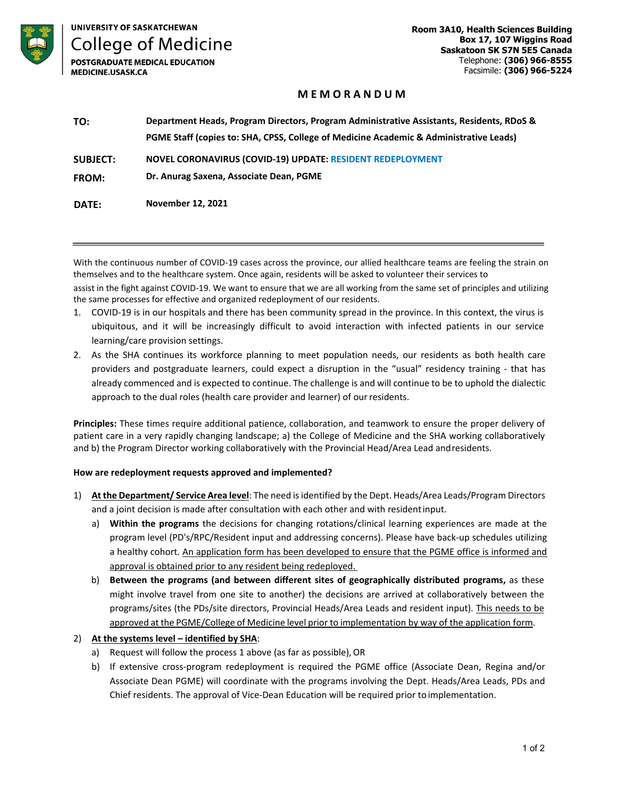

**UNIVERSITY OF SASKATCHEWAN** 

**College of Medicine POSTGRADUATE MEDICAL EDUCATION** 

**MEDICINE.USASK.CA** 

# **M E M O R A N D U M**

| TO:             | Department Heads, Program Directors, Program Administrative Assistants, Residents, RDoS & |
|-----------------|-------------------------------------------------------------------------------------------|
|                 | PGME Staff (copies to: SHA, CPSS, College of Medicine Academic & Administrative Leads)    |
| <b>SUBJECT:</b> | <b>NOVEL CORONAVIRUS (COVID-19) UPDATE: RESIDENT REDEPLOYMENT</b>                         |
| <b>FROM:</b>    | Dr. Anurag Saxena, Associate Dean, PGME                                                   |
| DATE:           | November 12, 2021                                                                         |

With the continuous number of COVID-19 cases across the province, our allied healthcare teams are feeling the strain on themselves and to the healthcare system. Once again, residents will be asked to volunteer their services to

assist in the fight against COVID-19. We want to ensure that we are all working from the same set of principles and utilizing the same processes for effective and organized redeployment of our residents.

- 1. COVID-19 is in our hospitals and there has been community spread in the province. In this context, the virus is ubiquitous, and it will be increasingly difficult to avoid interaction with infected patients in our service learning/care provision settings.
- 2. As the SHA continues its workforce planning to meet population needs, our residents as both health care providers and postgraduate learners, could expect a disruption in the "usual" residency training - that has already commenced and is expected to continue. The challenge is and will continue to be to uphold the dialectic approach to the dual roles (health care provider and learner) of ourresidents.

**Principles:** These times require additional patience, collaboration, and teamwork to ensure the proper delivery of patient care in a very rapidly changing landscape; a) the College of Medicine and the SHA working collaboratively and b) the Program Director working collaboratively with the Provincial Head/Area Lead andresidents.

## **How are redeployment requests approved and implemented?**

- 1) **At the Department/ Service Area level**: The need is identified by the Dept. Heads/Area Leads/Program Directors and a joint decision is made after consultation with each other and with residentinput.
	- a) **Within the programs** the decisions for changing rotations/clinical learning experiences are made at the program level (PD's/RPC/Resident input and addressing concerns). Please have back-up schedules utilizing a healthy cohort. An application form has been developed to ensure that the PGME office is informed and approval is obtained prior to any resident being redeployed.
	- b) **Between the programs (and between different sites of geographically distributed programs,** as these might involve travel from one site to another) the decisions are arrived at collaboratively between the programs/sites (the PDs/site directors, Provincial Heads/Area Leads and resident input). This needs to be approved at the PGME/College of Medicine level prior to implementation by way of the application form.

## 2) **At the systems level – identified by SHA**:

- a) Request will follow the process 1 above (as far as possible), OR
- b) If extensive cross-program redeployment is required the PGME office (Associate Dean, Regina and/or Associate Dean PGME) will coordinate with the programs involving the Dept. Heads/Area Leads, PDs and Chief residents. The approval of Vice-Dean Education will be required prior to implementation.